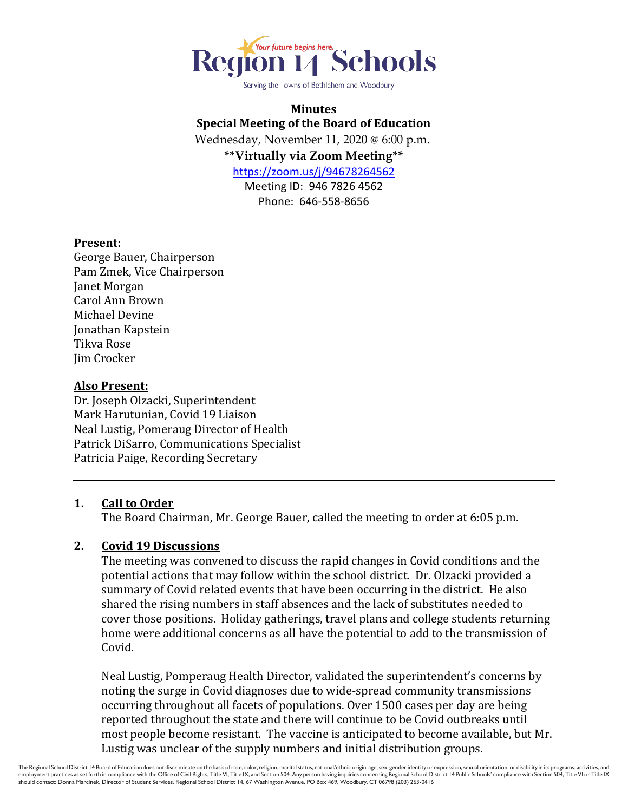

Serving the Towns of Bethlehem and Woodbury

# **Minutes Special Meeting of the Board of Education**

Wednesday, November 11, 2020 @ 6:00 p.m. **\*\*Virtually via Zoom Meeting\*\***

<https://zoom.us/j/94678264562>

Meeting ID: 946 7826 4562 Phone: 646-558-8656

### **Present:**

George Bauer, Chairperson Pam Zmek, Vice Chairperson Janet Morgan Carol Ann Brown Michael Devine Jonathan Kapstein Tikva Rose Jim Crocker

### **Also Present:**

Dr. Joseph Olzacki, Superintendent Mark Harutunian, Covid 19 Liaison Neal Lustig, Pomeraug Director of Health Patrick DiSarro, Communications Specialist Patricia Paige, Recording Secretary

## **1. Call to Order**

The Board Chairman, Mr. George Bauer, called the meeting to order at 6:05 p.m.

## **2. Covid 19 Discussions**

The meeting was convened to discuss the rapid changes in Covid conditions and the potential actions that may follow within the school district. Dr. Olzacki provided a summary of Covid related events that have been occurring in the district. He also shared the rising numbers in staff absences and the lack of substitutes needed to cover those positions. Holiday gatherings, travel plans and college students returning home were additional concerns as all have the potential to add to the transmission of Covid.

Neal Lustig, Pomperaug Health Director, validated the superintendent's concerns by noting the surge in Covid diagnoses due to wide-spread community transmissions occurring throughout all facets of populations. Over 1500 cases per day are being reported throughout the state and there will continue to be Covid outbreaks until most people become resistant. The vaccine is anticipated to become available, but Mr. Lustig was unclear of the supply numbers and initial distribution groups.